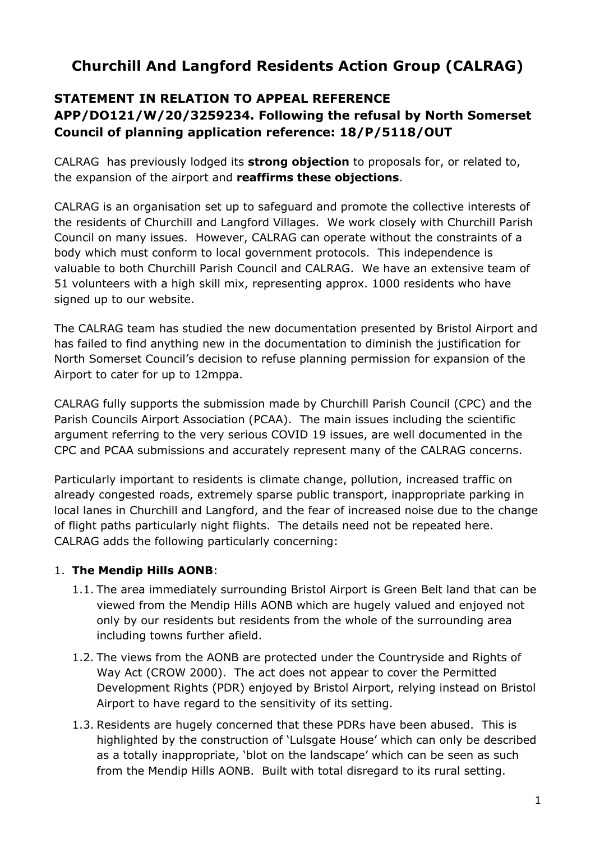# **Churchill And Langford Residents Action Group (CALRAG)**

# **STATEMENT IN RELATION TO APPEAL REFERENCE APP/DO121/W/20/3259234. Following the refusal by North Somerset Council of planning application reference: 18/P/5118/OUT**

CALRAG has previously lodged its **strong objection** to proposals for, or related to, the expansion of the airport and **reaffirms these objections**.

CALRAG is an organisation set up to safeguard and promote the collective interests of the residents of Churchill and Langford Villages. We work closely with Churchill Parish Council on many issues. However, CALRAG can operate without the constraints of a body which must conform to local government protocols. This independence is valuable to both Churchill Parish Council and CALRAG. We have an extensive team of 51 volunteers with a high skill mix, representing approx. 1000 residents who have signed up to our website.

The CALRAG team has studied the new documentation presented by Bristol Airport and has failed to find anything new in the documentation to diminish the justification for North Somerset Council's decision to refuse planning permission for expansion of the Airport to cater for up to 12mppa.

CALRAG fully supports the submission made by Churchill Parish Council (CPC) and the Parish Councils Airport Association (PCAA). The main issues including the scientific argument referring to the very serious COVID 19 issues, are well documented in the CPC and PCAA submissions and accurately represent many of the CALRAG concerns.

Particularly important to residents is climate change, pollution, increased traffic on already congested roads, extremely sparse public transport, inappropriate parking in local lanes in Churchill and Langford, and the fear of increased noise due to the change of flight paths particularly night flights. The details need not be repeated here. CALRAG adds the following particularly concerning:

#### 1. **The Mendip Hills AONB**:

- 1.1. The area immediately surrounding Bristol Airport is Green Belt land that can be viewed from the Mendip Hills AONB which are hugely valued and enjoyed not only by our residents but residents from the whole of the surrounding area including towns further afield.
- 1.2. The views from the AONB are protected under the Countryside and Rights of Way Act (CROW 2000). The act does not appear to cover the Permitted Development Rights (PDR) enjoyed by Bristol Airport, relying instead on Bristol Airport to have regard to the sensitivity of its setting.
- 1.3. Residents are hugely concerned that these PDRs have been abused. This is highlighted by the construction of 'Lulsgate House' which can only be described as a totally inappropriate, 'blot on the landscape' which can be seen as such from the Mendip Hills AONB. Built with total disregard to its rural setting.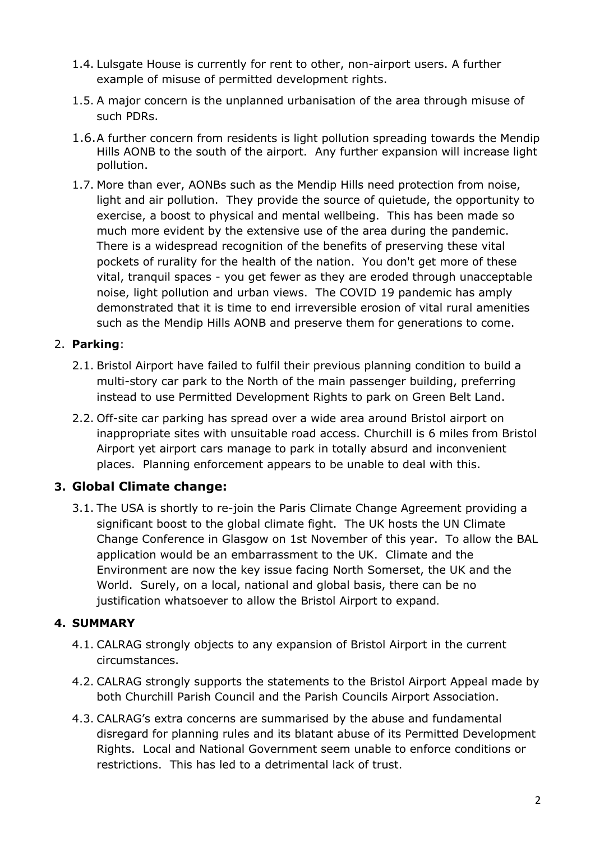- 1.4. Lulsgate House is currently for rent to other, non-airport users. A further example of misuse of permitted development rights.
- 1.5. A major concern is the unplanned urbanisation of the area through misuse of such PDRs.
- 1.6.A further concern from residents is light pollution spreading towards the Mendip Hills AONB to the south of the airport. Any further expansion will increase light pollution.
- 1.7. More than ever, AONBs such as the Mendip Hills need protection from noise, light and air pollution. They provide the source of quietude, the opportunity to exercise, a boost to physical and mental wellbeing. This has been made so much more evident by the extensive use of the area during the pandemic. There is a widespread recognition of the benefits of preserving these vital pockets of rurality for the health of the nation. You don't get more of these vital, tranquil spaces - you get fewer as they are eroded through unacceptable noise, light pollution and urban views. The COVID 19 pandemic has amply demonstrated that it is time to end irreversible erosion of vital rural amenities such as the Mendip Hills AONB and preserve them for generations to come.

#### 2. **Parking**:

- 2.1. Bristol Airport have failed to fulfil their previous planning condition to build a multi-story car park to the North of the main passenger building, preferring instead to use Permitted Development Rights to park on Green Belt Land.
- 2.2. Off-site car parking has spread over a wide area around Bristol airport on inappropriate sites with unsuitable road access. Churchill is 6 miles from Bristol Airport yet airport cars manage to park in totally absurd and inconvenient places. Planning enforcement appears to be unable to deal with this.

## **3. Global Climate change:**

3.1. The USA is shortly to re-join the Paris Climate Change Agreement providing a significant boost to the global climate fight. The UK hosts the UN Climate Change Conference in Glasgow on 1st November of this year. To allow the BAL application would be an embarrassment to the UK. Climate and the Environment are now the key issue facing North Somerset, the UK and the World. Surely, on a local, national and global basis, there can be no justification whatsoever to allow the Bristol Airport to expand.

## **4. SUMMARY**

- 4.1. CALRAG strongly objects to any expansion of Bristol Airport in the current circumstances.
- 4.2. CALRAG strongly supports the statements to the Bristol Airport Appeal made by both Churchill Parish Council and the Parish Councils Airport Association.
- 4.3. CALRAG's extra concerns are summarised by the abuse and fundamental disregard for planning rules and its blatant abuse of its Permitted Development Rights. Local and National Government seem unable to enforce conditions or restrictions. This has led to a detrimental lack of trust.